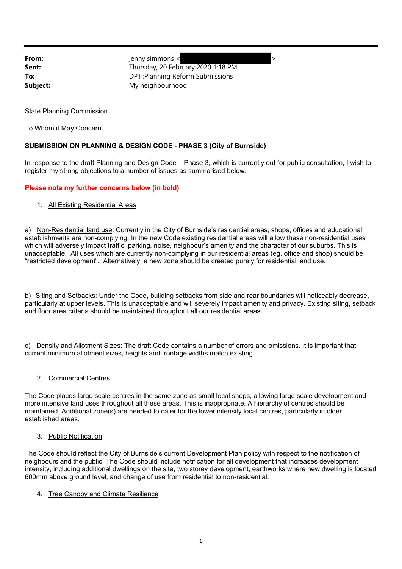**From:** ienny simmons < **Sent:** Thursday, 20 February 2020 1:18 PM **To:** DPTI:Planning Reform Submissions **Subject:** My neighbourhood

State Planning Commission

To Whom it May Concern

# **SUBMISSION ON PLANNING & DESIGN CODE - PHASE 3 (City of Burnside)**

In response to the draft Planning and Design Code – Phase 3, which is currently out for public consultation, I wish to register my strong objections to a number of issues as summarised below.

## **Please note my further concerns below (in bold)**

1. All Existing Residential Areas

a) Non-Residential land use: Currently in the City of Burnside's residential areas, shops, offices and educational establishments are non-complying. In the new Code existing residential areas will allow these non-residential uses which will adversely impact traffic, parking, noise, neighbour's amenity and the character of our suburbs. This is unacceptable. All uses which are currently non-complying in our residential areas (eg. office and shop) should be "restricted development". Alternatively, a new zone should be created purely for residential land use.

b) Siting and Setbacks: Under the Code, building setbacks from side and rear boundaries will noticeably decrease, particularly at upper levels. This is unacceptable and will severely impact amenity and privacy. Existing siting, setback and floor area criteria should be maintained throughout all our residential areas.

c) Density and Allotment Sizes: The draft Code contains a number of errors and omissions. It is important that current minimum allotment sizes, heights and frontage widths match existing.

#### 2. Commercial Centres

The Code places large scale centres in the same zone as small local shops, allowing large scale development and more intensive land uses throughout all these areas. This is inappropriate. A hierarchy of centres should be maintained. Additional zone(s) are needed to cater for the lower intensity local centres, particularly in older established areas.

#### 3. Public Notification

The Code should reflect the City of Burnside's current Development Plan policy with respect to the notification of neighbours and the public. The Code should include notification for all development that increases development intensity, including additional dwellings on the site, two storey development, earthworks where new dwelling is located 600mm above ground level, and change of use from residential to non-residential.

4. Tree Canopy and Climate Resilience